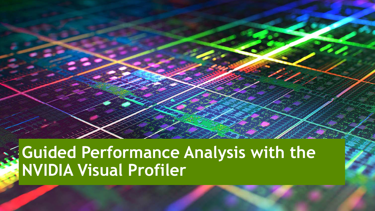## **Guided Performance Analysis with the NVIDIA Visual Profiler**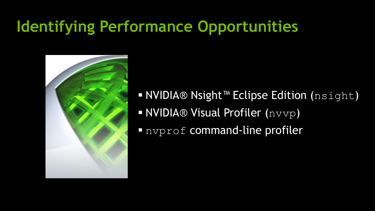## **Identifying Performance Opportunities**



- NVIDIA® Nsight™ Eclipse Edition (nsight) NVIDIA® Visual Profiler (nvvp)
- nvprof command-line profiler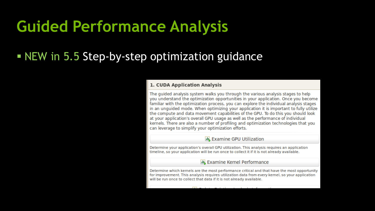## **Guided Performance Analysis**

### **NEW** in 5.5 Step-by-step optimization guidance

#### 1. CUDA Application Analysis

The quided analysis system walks you through the various analysis stages to help you understand the optimization opportunities in your application. Once you become familiar with the optimization process, you can explore the individual analysis stages in an unquided mode. When optimizing your application it is important to fully utilize the compute and data movement capabilities of the GPU. To do this you should look at your application's overall GPU usage as well as the performance of individual kernels. There are also a number of profiling and optimization technologies that you can leverage to simplify your optimization efforts.

#### **ILL** Examine GPU Utilization

Determine your application's overall GPU utilization. This analysis requires an application timeline, so your application will be run once to collect it if it is not already available.

#### 山 Examine Kernel Performance

Determine which kernels are the most performance critical and that have the most opportunity for improvement. This analysis requires utilization data from every kernel, so your application will be run once to collect that data if it is not already available.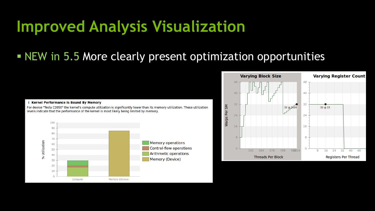## **Improved Analysis Visualization**

### NEW in 5.5 More clearly present optimization opportunities



For device "Tesla C2050" the kernel's compute utilization is significantly lower than its memory utilization. These utilization

i Kernel Performance Is Bound By Memory

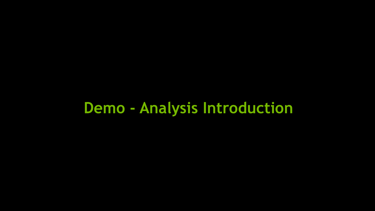## **Demo - Analysis Introduction**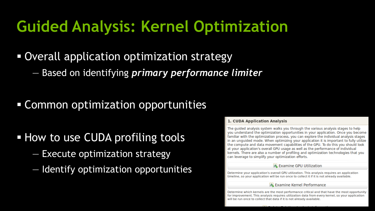## **Guided Analysis: Kernel Optimization**

### Overall application optimization strategy

— Based on identifying *primary performance limiter*

Common optimization opportunities

### **How to use CUDA profiling tools**

- Execute optimization strategy
- Identify optimization opportunities

#### 1. CUDA Application Analysis

The quided analysis system walks you through the various analysis stages to help you understand the optimization opportunities in your application. Once you become familiar with the optimization process, you can explore the individual analysis stages in an unguided mode. When optimizing your application it is important to fully utilize the compute and data movement capabilities of the GPU. To do this you should look at your application's overall GPU usage as well as the performance of individual kernels. There are also a number of profiling and optimization technologies that you can leverage to simplify your optimization efforts.

#### **A.** Examine GPU Utilization

Determine your application's overall GPU utilization. This analysis requires an application timeline, so your application will be run once to collect it if it is not already available.

#### **ILL** Examine Kernel Performance

Determine which kernels are the most performance critical and that have the most opportunity for improvement. This analysis requires utilization data from every kernel, so your application will be run once to collect that data if it is not already available.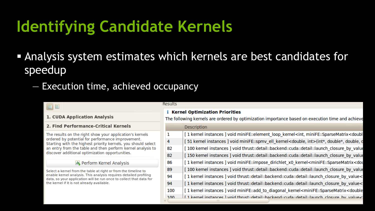## **Identifying Candidate Kernels**

- Analysis system estimates which kernels are best candidates for speedup
	- Execution time, achieved occupancy

| 日日                                                                                                                                                                                     | <b>Results</b><br><b>Kernel Optimization Priorities</b><br>The following kernels are ordered by optimization importance based on execution time and achieve |                                                                                                                               |  |  |
|----------------------------------------------------------------------------------------------------------------------------------------------------------------------------------------|-------------------------------------------------------------------------------------------------------------------------------------------------------------|-------------------------------------------------------------------------------------------------------------------------------|--|--|
| 1. CUDA Application Analysis                                                                                                                                                           |                                                                                                                                                             |                                                                                                                               |  |  |
| 2. Find Performance-Critical Kernels                                                                                                                                                   |                                                                                                                                                             | <b>Description</b>                                                                                                            |  |  |
| The results on the right show your application's kernels                                                                                                                               |                                                                                                                                                             | [1 kernel instances ] void miniFE::element_loop_kernel <int, minife::sparsematrix<doubl<="" td=""></int,>                     |  |  |
| ordered by potential for performance improvement.<br>Starting with the highest priority kernels, you should select<br>an entry from the table and then perform kernel analysis to      | 4                                                                                                                                                           | [51 kernel instances ] void miniFE::spmv_ell_kernel <double, int="">(int*, double*, double, o</double,>                       |  |  |
|                                                                                                                                                                                        | 82                                                                                                                                                          | [ 100 kernel instances ] void thrust::detail::backend::cuda::detail::launch_closure_by_value                                  |  |  |
| discover additional optimization opportunities.                                                                                                                                        | 82                                                                                                                                                          | [ 150 kernel instances ] void thrust::detail::backend::cuda::detail::launch_closure_by_value                                  |  |  |
| <b>IL</b> , Perform Kernel Analysis                                                                                                                                                    | 86                                                                                                                                                          | [1 kernel instances ] void miniFE::impose_dirichlet_x0_kernel <minife::sparsematrix<dou< td=""></minife::sparsematrix<dou<>   |  |  |
| Select a kernel from the table at right or from the timeline to                                                                                                                        | 89                                                                                                                                                          | [ 100 kernel instances ] void thrust::detail::backend::cuda::detail::launch_closure_by_value                                  |  |  |
| enable kernel analysis. This analysis requires detailed profiling<br>data, so your application will be run once to collect that data for<br>the kernel if it is not already available. | 94                                                                                                                                                          | [ 1 kernel instances ] void thrust::detail::backend::cuda::detail::launch_closure_by_value<                                   |  |  |
|                                                                                                                                                                                        | 94                                                                                                                                                          | [1 kernel instances ] void thrust::detail::backend::cuda::detail::launch_closure_by_value<                                    |  |  |
|                                                                                                                                                                                        | 100                                                                                                                                                         | [1 kernel instances ] void miniFE::add_to_diagonal_kernel <minife::sparsematrix<double< td=""></minife::sparsematrix<double<> |  |  |
|                                                                                                                                                                                        | 100                                                                                                                                                         | [1 kemel instances ] void thrust-detail-hackend-cuda-detail-launch_closure_by_value<                                          |  |  |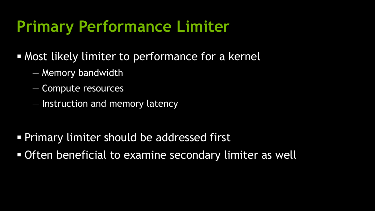## **Primary Performance Limiter**

- Most likely limiter to performance for a kernel
	- Memory bandwidth
	- Compute resources
	- Instruction and memory latency

- Primary limiter should be addressed first
- **Often beneficial to examine secondary limiter as well**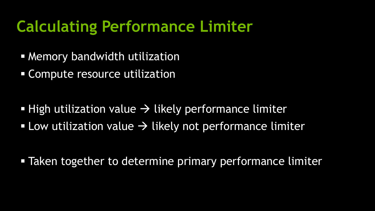- Memory bandwidth utilization
- Compute resource utilization

- **High utilization value**  $\rightarrow$  **likely performance limiter**
- **Low utilization value**  $\rightarrow$  **likely not performance limiter**

**Taken together to determine primary performance limiter**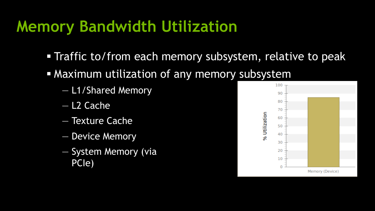## **Memory Bandwidth Utilization**

- **Traffic to/from each memory subsystem, relative to peak**
- Maximum utilization of any memory subsystem
	- L1/Shared Memory
	- L2 Cache
	- Texture Cache
	- Device Memory
	- System Memory (via PCIe)

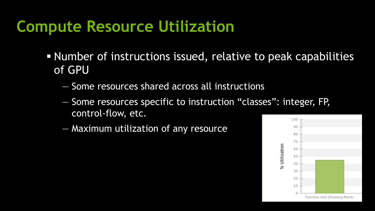## **Compute Resource Utilization**

- Number of instructions issued, relative to peak capabilities of GPU
	- Some resources shared across all instructions
	- Some resources specific to instruction "classes": integer, FP, control-flow, etc.
	- Maximum utilization of any resource

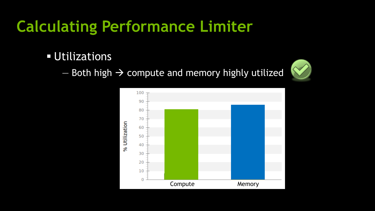## Utilizations

 $-$  Both high  $\rightarrow$  compute and memory highly utilized



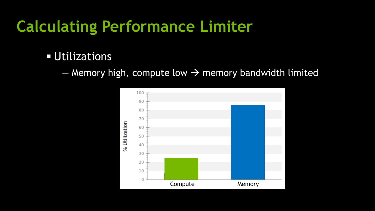## **Utilizations**

— Memory high, compute low  $\rightarrow$  memory bandwidth limited

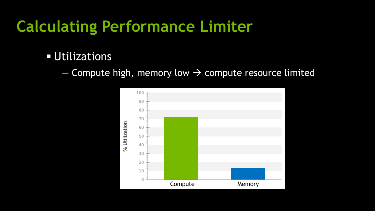## **Utilizations**

 $-$  Compute high, memory low  $\rightarrow$  compute resource limited

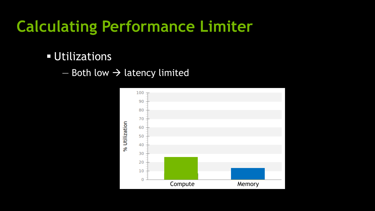## Utilizations

 $-$  Both low  $\rightarrow$  latency limited

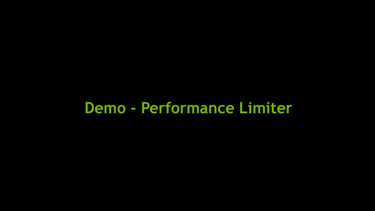## **Demo - Performance Limiter**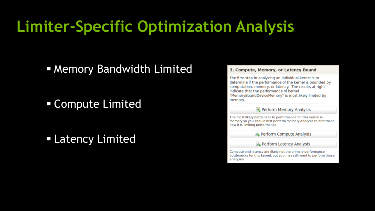## **Limiter-Specific Optimization Analysis**

**Example 2 Memory Bandwidth Limited** 

Compute Limited

Latency Limited

#### 3. Compute, Memory, or Latency Bound

The first step in analyzing an individual kernel is to determine if the performance of the kernel is bounded by computation, memory, or latency. The results at right indicate that the performance of kernel "MemoryBoundDeviceMemory" is most likely limited by memory.

#### 山 Perform Memory Analysis

The most likely bottleneck to performance for this kernel is memory so you should first perform memory analysis to determine how it is limiting performance.

**ILL** Perform Compute Analysis

**ILL** Perform Latency Analysis

Compute and latency are likely not the primary performance bottlenecks for this kernel, but you may still want to perform those analyses.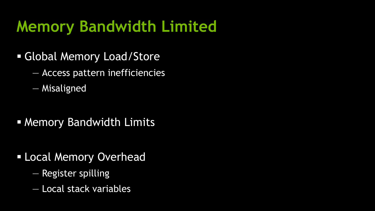## **Memory Bandwidth Limited**

- Global Memory Load/Store
	- Access pattern inefficiencies
	- Misaligned

**Memory Bandwidth Limits** 

- **ELocal Memory Overhead** 
	- Register spilling
	- Local stack variables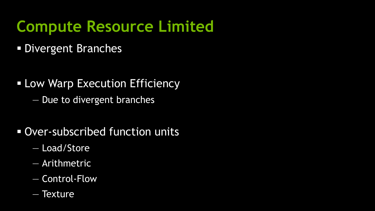## **Compute Resource Limited**

**Divergent Branches** 

- **ELOW Warp Execution Efficiency** 
	- Due to divergent branches
- Over-subscribed function units
	- Load/Store
	- Arithmetric
	- Control-Flow
	- Texture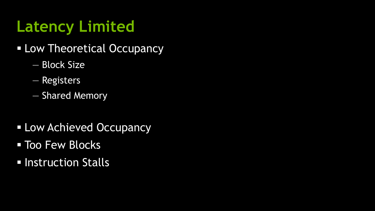# **Latency Limited**

- **ELOW Theoretical Occupancy** 
	- Block Size
	- Registers
	- Shared Memory
- **Low Achieved Occupancy**
- **Too Few Blocks**
- **E** Instruction Stalls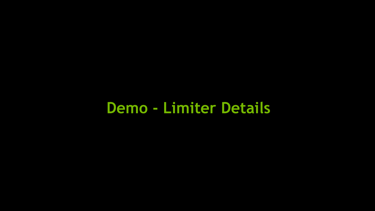## **Demo - Limiter Details**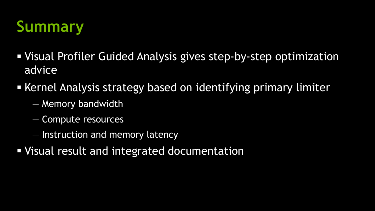

- Visual Profiler Guided Analysis gives step-by-step optimization advice
- Kernel Analysis strategy based on identifying primary limiter
	- Memory bandwidth
	- Compute resources
	- Instruction and memory latency
- **Visual result and integrated documentation**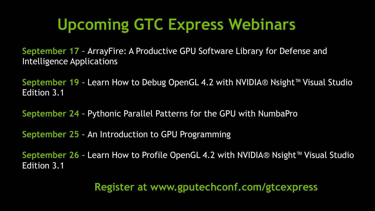## **Upcoming GTC Express Webinars**

**September 17 -** ArrayFire: A Productive GPU Software Library for Defense and Intelligence Applications

**September 19 -** Learn How to Debug OpenGL 4.2 with NVIDIA® Nsight™ Visual Studio Edition 3.1

**September 24 -** Pythonic Parallel Patterns for the GPU with NumbaPro

**September 25 -** An Introduction to GPU Programming

**September 26 -** Learn How to Profile OpenGL 4.2 with NVIDIA® Nsight™ Visual Studio Edition 3.1

**Register at www.gputechconf.com/gtcexpress**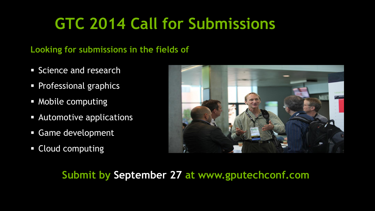## **GTC 2014 Call for Submissions**

#### **Looking for submissions in the fields of**

- **Science and research**
- **Professional graphics**
- **Mobile computing**
- **Automotive applications**
- Game development
- **Cloud computing**



### **Submit by September 27 at www.gputechconf.com**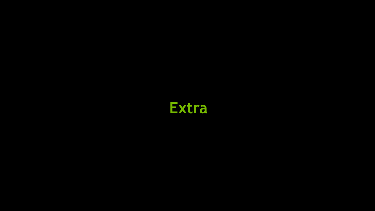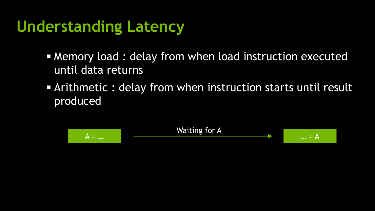## **Understanding Latency**

- **Memory load : delay from when load instruction executed** until data returns
- Arithmetic : delay from when instruction starts until result produced

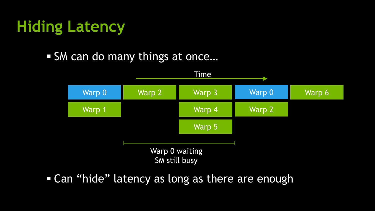# **Hiding Latency**

### ■ SM can do many things at once...



**Can "hide" latency as long as there are enough**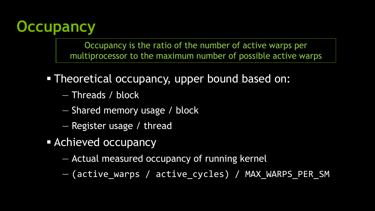

Occupancy is the ratio of the number of active warps per multiprocessor to the maximum number of possible active warps

- Theoretical occupancy, upper bound based on:
	- Threads / block
	- Shared memory usage / block
	- Register usage / thread
- **Exercise Achieved occupancy** 
	- Actual measured occupancy of running kernel
	- (active\_warps / active\_cycles) / MAX\_WARPS\_PER\_SM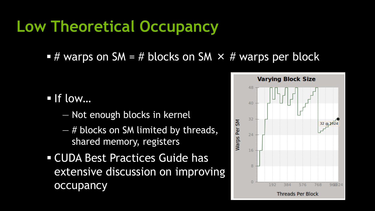## **Low Theoretical Occupancy**

 $#$  warps on SM = # blocks on SM  $\times$  # warps per block

- $\blacksquare$  If low...
	- Not enough blocks in kernel
	- $-$  # blocks on SM limited by threads, shared memory, registers
- CUDA Best Practices Guide has extensive discussion on improving occupancy

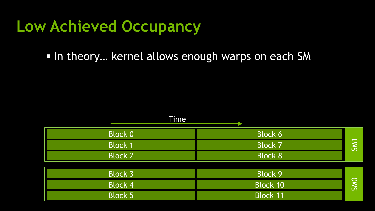## **Low Achieved Occupancy**

In theory... kernel allows enough warps on each SM

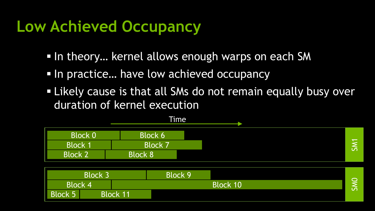## **Low Achieved Occupancy**

- In theory... kernel allows enough warps on each SM
- In practice... have low achieved occupancy
- Likely cause is that all SMs do not remain equally busy over duration of kernel execution



|                                | <b>Block 3</b> |                 | Block 9 |                 |            |
|--------------------------------|----------------|-----------------|---------|-----------------|------------|
| $\mathsf{IBlock}\;4^{\dagger}$ |                |                 |         | <b>Block 10</b> | $\sqrt{2}$ |
| <b>Block 5</b>                 |                | <b>Block 11</b> |         |                 |            |